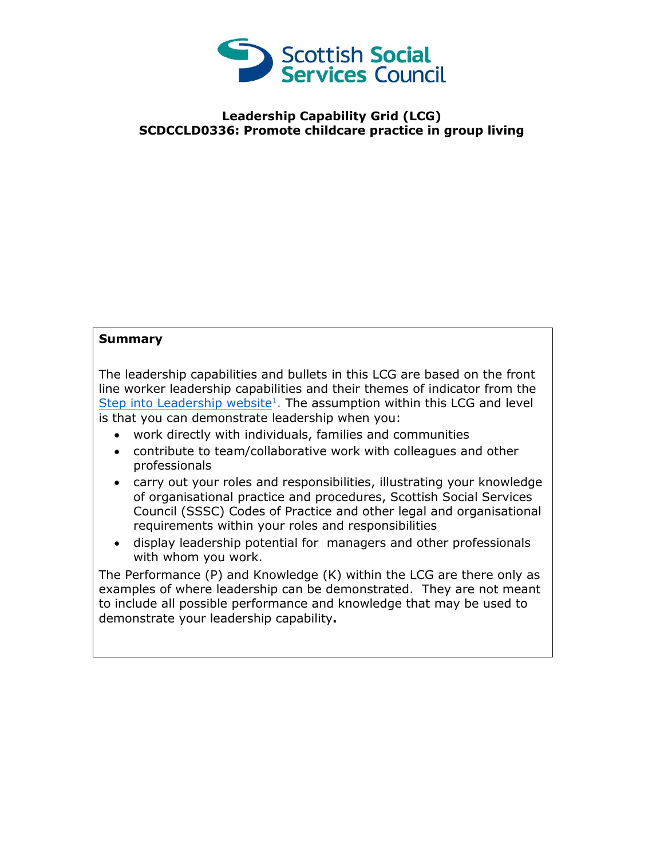

## **Leadership Capability Grid (LCG) SCDCCLD0336: Promote childcare practice in group living**

## **Summary**

The leadership capabilities and bullets in this LCG are based on the front line worker leadership capabilities and their themes of indicator from the [Step into Leadership website](http://www.stepintoleadership.info/)<sup>1</sup>. The assumption within this LCG and level is that you can demonstrate leadership when you:

- work directly with individuals, families and communities
- contribute to team/collaborative work with colleagues and other professionals
- carry out your roles and responsibilities, illustrating your knowledge of organisational practice and procedures, Scottish Social Services Council (SSSC) Codes of Practice and other legal and organisational requirements within your roles and responsibilities
- display leadership potential for managers and other professionals with whom you work.

The Performance (P) and Knowledge (K) within the LCG are there only as examples of where leadership can be demonstrated. They are not meant to include all possible performance and knowledge that may be used to demonstrate your leadership capability**.**